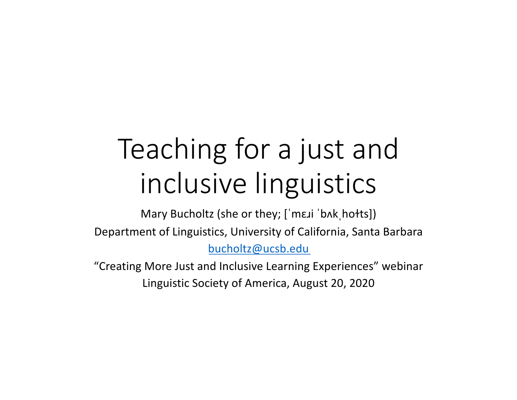# Teaching for a just and inclusive linguistics

Mary Bucholtz (she or they; ['mɛɹi 'bʌkˌhołts]) Department of Linguistics, University of California, Santa Barbara [bucholtz@ucsb.edu](mailto:bucholtz@ucsb.edu)

"Creating More Just and Inclusive Learning Experiences" webinar Linguistic Society of America, August 20, 2020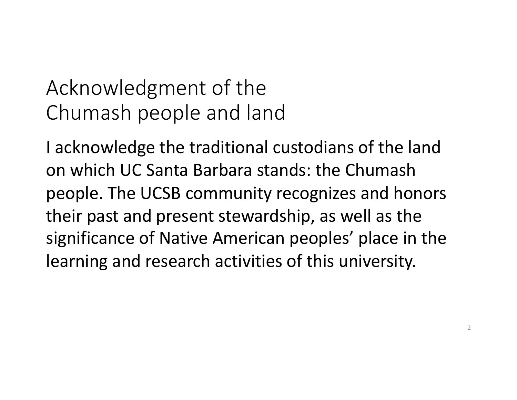## Acknowledgment of the Chumash people and land

I acknowledge the traditional custodians of the land on which UC Santa Barbara stands: the Chumash people. The UCSB community recognizes and honors their past and present stewardship, as well as the significance of Native American peoples' place in the learning and research activities of this university.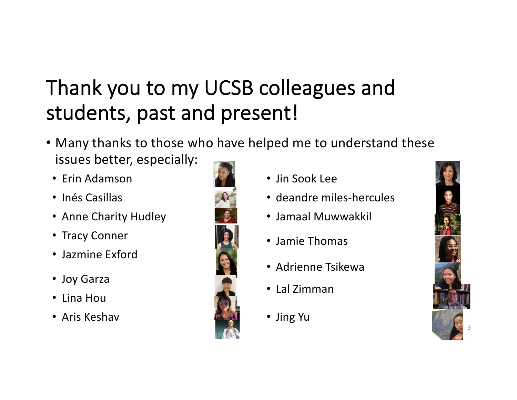# Thank you to my UCSB colleagues and students, past and present!

- Many thanks to those who have helped me to understand these issues better, especially:
	- Erin Adamson
	- Inés Casillas
	- Anne Charity Hudley
	- Tracy Conner
	- Jazmine Exford
	- Joy Garza
	- Lina Hou
	- Aris Keshav



- Jin Sook Lee
- deandre miles-hercules
- Jamaal Muwwakkil
- Jamie Thomas
- Adrienne Tsikewa
- Lal Zimman
- Jing Yu

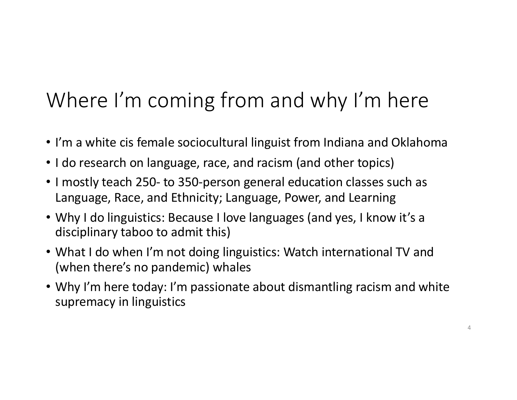# Where I'm coming from and why I'm here

- I'm a white cis female sociocultural linguist from Indiana and Oklahoma
- I do research on language, race, and racism (and other topics)
- I mostly teach 250- to 350-person general education classes such as Language, Race, and Ethnicity; Language, Power, and Learning
- Why I do linguistics: Because I love languages (and yes, I know it's a disciplinary taboo to admit this)
- What I do when I'm not doing linguistics: Watch international TV and (when there's no pandemic) whales
- Why I'm here today: I'm passionate about dismantling racism and white supremacy in linguistics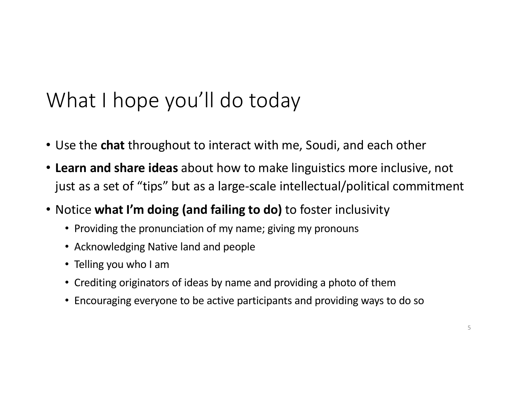### What I hope you'll do today

- Use the **chat** throughout to interact with me, Soudi, and each other
- **Learn and share ideas** about how to make linguistics more inclusive, not just as a set of "tips" but as a large-scale intellectual/political commitment
- Notice **what I'm doing (and failing to do)** to foster inclusivity
	- Providing the pronunciation of my name; giving my pronouns
	- Acknowledging Native land and people
	- Telling you who I am
	- Crediting originators of ideas by name and providing a photo of them
	- Encouraging everyone to be active participants and providing ways to do so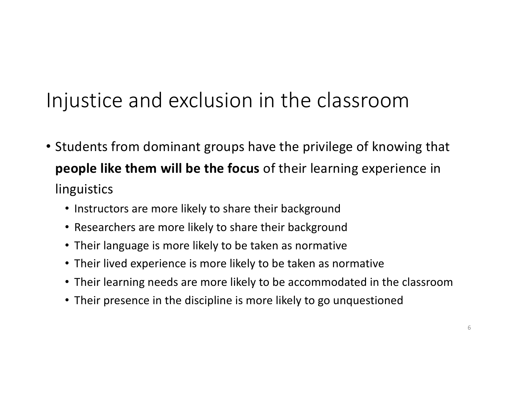#### Injustice and exclusion in the classroom

- Students from dominant groups have the privilege of knowing that **people like them will be the focus** of their learning experience in linguistics
	- Instructors are more likely to share their background
	- Researchers are more likely to share their background
	- Their language is more likely to be taken as normative
	- Their lived experience is more likely to be taken as normative
	- Their learning needs are more likely to be accommodated in the classroom
	- Their presence in the discipline is more likely to go unquestioned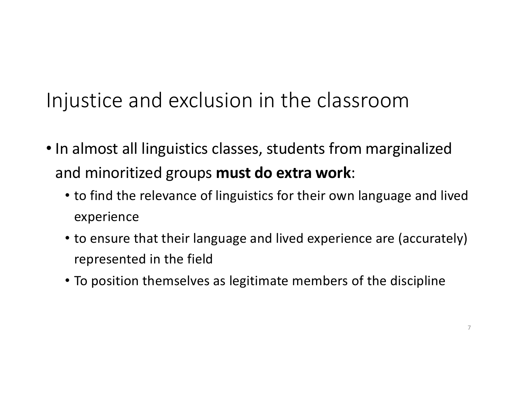## Injustice and exclusion in the classroom

- In almost all linguistics classes, students from marginalized and minoritized groups **must do extra work**:
	- to find the relevance of linguistics for their own language and lived experience
	- to ensure that their language and lived experience are (accurately) represented in the field
	- To position themselves as legitimate members of the discipline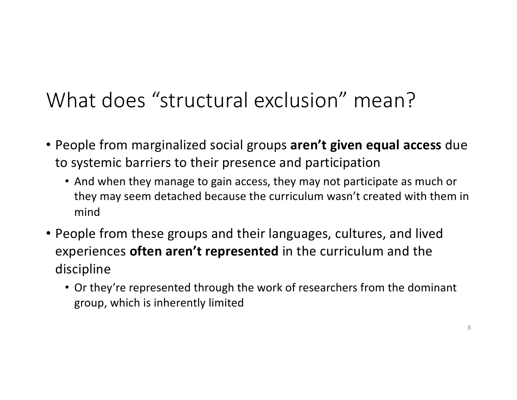#### What does "structural exclusion" mean?

- People from marginalized social groups **aren't given equal access** due to systemic barriers to their presence and participation
	- And when they manage to gain access, they may not participate as much or they may seem detached because the curriculum wasn't created with them in mind
- People from these groups and their languages, cultures, and lived experiences **often aren't represented** in the curriculum and the discipline
	- Or they're represented through the work of researchers from the dominant group, which is inherently limited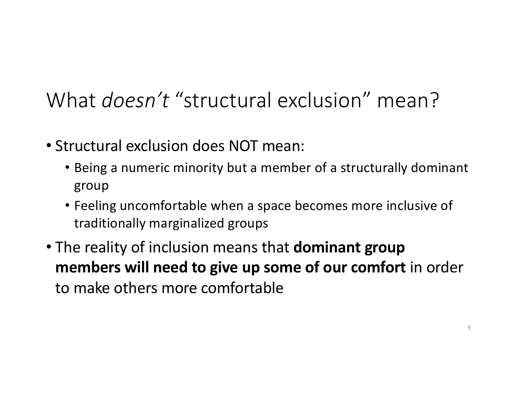#### What *doesn't* "structural exclusion" mean?

- Structural exclusion does NOT mean:
	- Being a numeric minority but a member of a structurally dominant group
	- Feeling uncomfortable when a space becomes more inclusive of traditionally marginalized groups
- The reality of inclusion means that **dominant group members will need to give up some of our comfort** in order to make others more comfortable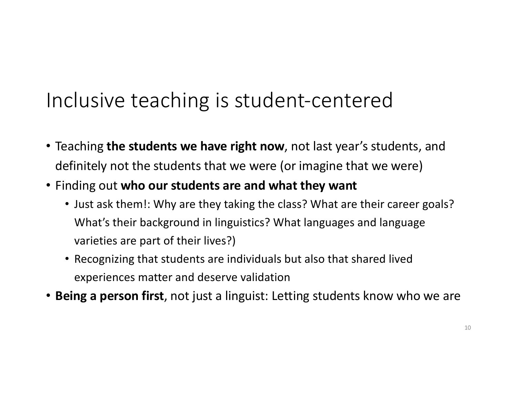#### Inclusive teaching is student-centered

- Teaching **the students we have right now**, not last year's students, and definitely not the students that we were (or imagine that we were)
- Finding out **who our students are and what they want**
	- Just ask them!: Why are they taking the class? What are their career goals? What's their background in linguistics? What languages and language varieties are part of their lives?)
	- Recognizing that students are individuals but also that shared lived experiences matter and deserve validation
- **Being a person first**, not just a linguist: Letting students know who we are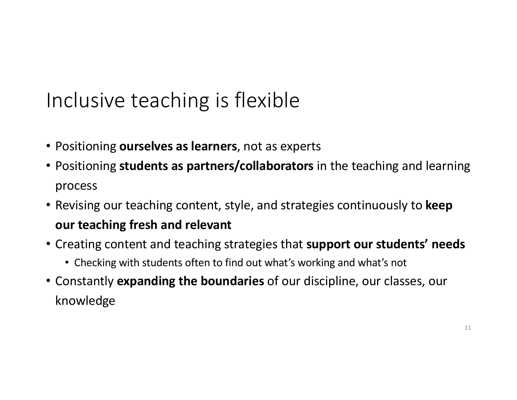## Inclusive teaching is flexible

- Positioning **ourselves as learners**, not as experts
- Positioning **students as partners/collaborators** in the teaching and learning process
- Revising our teaching content, style, and strategies continuously to **keep our teaching fresh and relevant**
- Creating content and teaching strategies that **support our students' needs**
	- Checking with students often to find out what's working and what's not
- Constantly **expanding the boundaries** of our discipline, our classes, our knowledge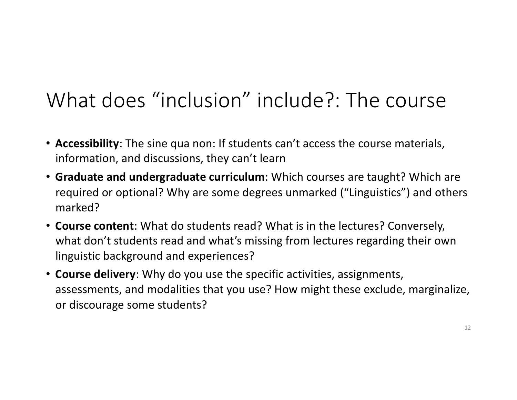#### What does "inclusion" include?: The course

- **Accessibility**: The sine qua non: If students can't access the course materials, information, and discussions, they can't learn
- **Graduate and undergraduate curriculum**: Which courses are taught? Which are required or optional? Why are some degrees unmarked ("Linguistics") and others marked?
- **Course content**: What do students read? What is in the lectures? Conversely, what don't students read and what's missing from lectures regarding their own linguistic background and experiences?
- **Course delivery**: Why do you use the specific activities, assignments, assessments, and modalities that you use? How might these exclude, marginalize, or discourage some students?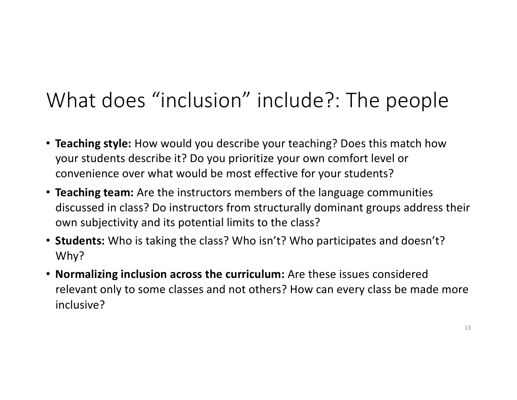## What does "inclusion" include?: The people

- **Teaching style:** How would you describe your teaching? Does this match how your students describe it? Do you prioritize your own comfort level or convenience over what would be most effective for your students?
- **Teaching team:** Are the instructors members of the language communities discussed in class? Do instructors from structurally dominant groups address their own subjectivity and its potential limits to the class?
- **Students:** Who is taking the class? Who isn't? Who participates and doesn't? Why?
- **Normalizing inclusion across the curriculum:** Are these issues considered relevant only to some classes and not others? How can every class be made more inclusive?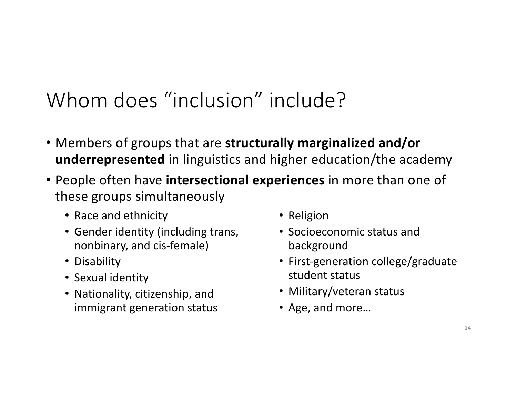## Whom does "inclusion" include?

- Members of groups that are **structurally marginalized and/or underrepresented** in linguistics and higher education/the academy
- People often have **intersectional experiences** in more than one of these groups simultaneously
	- Race and ethnicity
	- Gender identity (including trans, nonbinary, and cis-female)
	- Disability
	- Sexual identity
	- Nationality, citizenship, and immigrant generation status
- Religion
- Socioeconomic status and background
- First-generation college/graduate student status
- Military/veteran status
- Age, and more…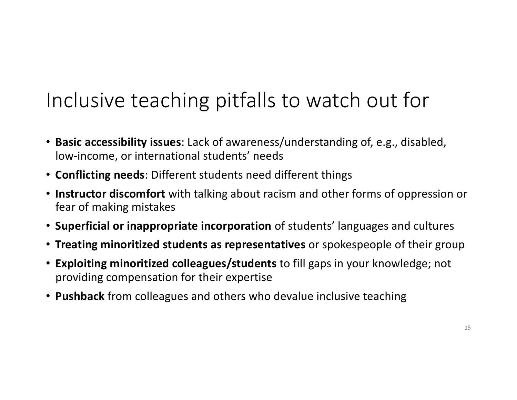## Inclusive teaching pitfalls to watch out for

- **Basic accessibility issues**: Lack of awareness/understanding of, e.g., disabled, low-income, or international students' needs
- **Conflicting needs**: Different students need different things
- **Instructor discomfort** with talking about racism and other forms of oppression or fear of making mistakes
- **Superficial or inappropriate incorporation** of students' languages and cultures
- **Treating minoritized students as representatives** or spokespeople of their group
- **Exploiting minoritized colleagues/students** to fill gaps in your knowledge; not providing compensation for their expertise
- **Pushback** from colleagues and others who devalue inclusive teaching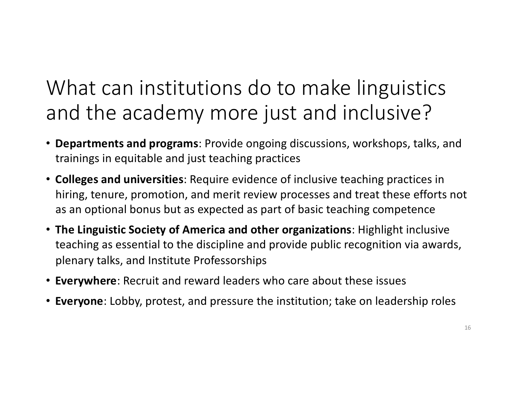## What can institutions do to make linguistics and the academy more just and inclusive?

- **Departments and programs**: Provide ongoing discussions, workshops, talks, and trainings in equitable and just teaching practices
- **Colleges and universities**: Require evidence of inclusive teaching practices in hiring, tenure, promotion, and merit review processes and treat these efforts not as an optional bonus but as expected as part of basic teaching competence
- **The Linguistic Society of America and other organizations**: Highlight inclusive teaching as essential to the discipline and provide public recognition via awards, plenary talks, and Institute Professorships
- **Everywhere**: Recruit and reward leaders who care about these issues
- **Everyone**: Lobby, protest, and pressure the institution; take on leadership roles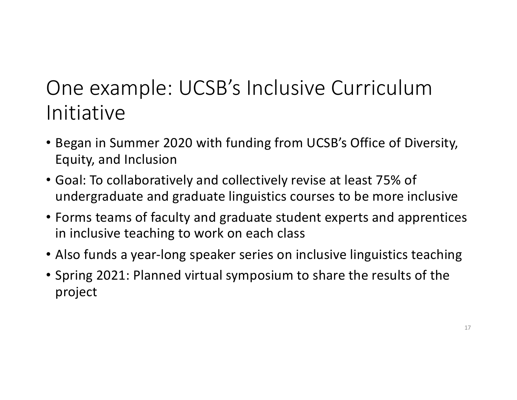## One example: UCSB's Inclusive Curriculum Initiative

- Began in Summer 2020 with funding from UCSB's Office of Diversity, Equity, and Inclusion
- Goal: To collaboratively and collectively revise at least 75% of undergraduate and graduate linguistics courses to be more inclusive
- Forms teams of faculty and graduate student experts and apprentices in inclusive teaching to work on each class
- Also funds a year-long speaker series on inclusive linguistics teaching
- Spring 2021: Planned virtual symposium to share the results of the project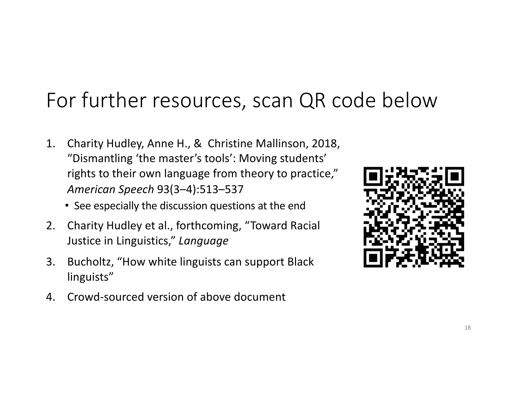#### For further resources, scan QR code below

- 1. Charity Hudley, Anne H., & Christine Mallinson, 2018, "Dismantling 'the master's tools': Moving students' rights to their own language from theory to practice," *American Speech* 93(3–4):513–537
	- See especially the discussion questions at the end
- 2. Charity Hudley et al., forthcoming, "Toward Racial Justice in Linguistics," *Language*
- 3. Bucholtz, "How white linguists can support Black linguists"
- 4. Crowd-sourced version of above document

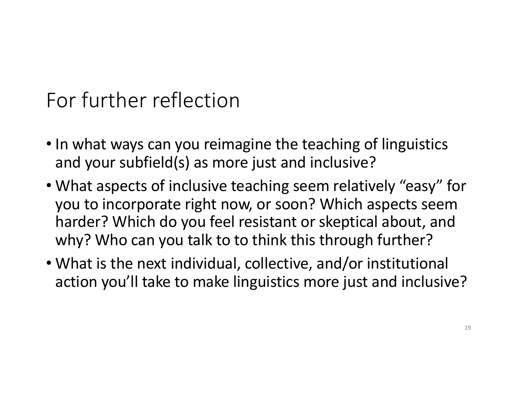## For further reflection

- In what ways can you reimagine the teaching of linguistics and your subfield(s) as more just and inclusive?
- What aspects of inclusive teaching seem relatively "easy" for you to incorporate right now, or soon? Which aspects seem harder? Which do you feel resistant or skeptical about, and why? Who can you talk to to think this through further?
- What is the next individual, collective, and/or institutional action you'll take to make linguistics more just and inclusive?